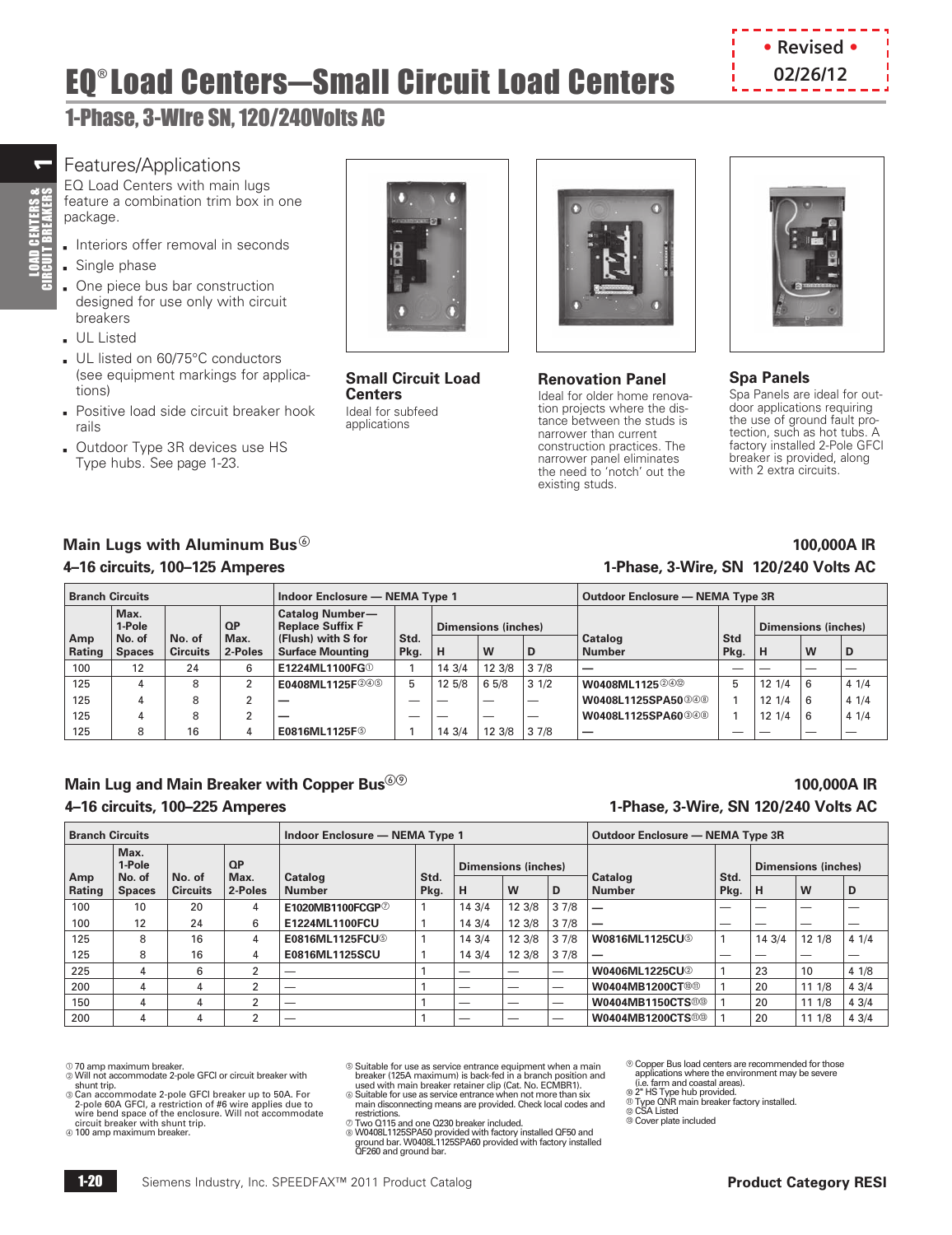## **EQ® Load Centers—Small Circuit Load Centers Example 202/26/12**



### 1-Phase, 3-WIre SN, 120/240Volts AC

### Features/Applications

EQ Load Centers with main lugs feature a combination trim box in one package.

- **Interiors offer removal in seconds**
- $s$  Single phase
- Dne piece bus bar construction designed for use only with circuit breakers
- b UL Listed
- UL listed on 60/75°C conductors (see equipment markings for applications)
- **Positive load side circuit breaker hook** rails
- **Dutdoor Type 3R devices use HS** Type hubs. See page [1-23.](#page-3-0)



**Small Circuit Load Centers** Ideal for subfeed applications



#### **Renovation Panel**

Ideal for older home renovation projects where the distance between the studs is narrower than current construction practices. The narrower panel eliminates the need to 'notch' out the existing studs.



### **Spa Panels**

Spa Panels are ideal for outdoor applications requiring the use of ground fault protection, such as hot tubs. A factory installed 2-Pole GFCI breaker is provided, along with 2 extra circuits.

### **Main Lugs with Aluminum Bus 100,000A IR 4–16 circuits, 100–125 Amperes 1-Phase, 3-Wire, SN 120/240 Volts AC**

|               | <b>Branch Circuits</b>  |                           |                 |                                                   | Indoor Enclosure - NEMA Type 1 |        |        |                          |                                | Outdoor Enclosure - NEMA Type 3R |                  |                          |      |  |
|---------------|-------------------------|---------------------------|-----------------|---------------------------------------------------|--------------------------------|--------|--------|--------------------------|--------------------------------|----------------------------------|------------------|--------------------------|------|--|
|               | Max.<br>1-Pole          |                           | QP              | <b>Catalog Number-</b><br><b>Replace Suffix F</b> | <b>Dimensions (inches)</b>     |        |        |                          | <b>Dimensions (inches)</b>     |                                  |                  |                          |      |  |
| Amp<br>Rating | No. of<br><b>Spaces</b> | No. of<br><b>Circuits</b> | Max.<br>2-Poles | (Flush) with S for<br><b>Surface Mounting</b>     | Std.<br>Pkg.                   | н      | W      | D                        | Catalog<br><b>Number</b>       | Std<br>Pkg.                      | H                | W                        | D    |  |
| 100           | 12                      | 24                        | 6               | E1224ML1100FG <sup>O</sup>                        |                                | 14 3/4 | 12 3/8 | 37/8                     |                                |                                  |                  | $\overline{\phantom{a}}$ |      |  |
| 125           |                         | 8                         | າ               | E0408ML1125F246                                   | 5                              | 12 5/8 | 65/8   | 31/2                     | W0408ML1125202                 | 5                                | $12 \frac{1}{4}$ | 6                        | 41/4 |  |
| 125           |                         | 8                         |                 |                                                   |                                |        |        | $\overline{\phantom{a}}$ | W0408L1125SPA50 <sup>348</sup> |                                  | 121/4            | 6                        | 41/4 |  |
| 125           |                         | 8                         | C               |                                                   |                                |        |        | $\overline{\phantom{a}}$ | W0408L1125SPA60 300            |                                  | 121/4            | 6                        | 41/4 |  |
| 125           | 8                       | 16                        | 4               | E0816ML1125F <sup>5</sup>                         |                                | 14 3/4 | 12 3/8 | 37/8                     |                                |                                  |                  | $\overline{\phantom{a}}$ |      |  |

### **Main Lug and Main Breaker with Copper Bus<sup>⑥</sup> 2000 A IR and the control of the control of the control of the control of the control of the control of the control of the control of the control of the control of the control**

## **4–16 circuits, 100–225 Amperes 1-Phase, 3-Wire, SN 120/240 Volts AC**

|               | <b>Branch Circuits</b>  |                           |                 | Indoor Enclosure - NEMA Type 1  | Outdoor Enclosure - NEMA Type 3R |                            |        |                          |                                    |                            |        |        |      |
|---------------|-------------------------|---------------------------|-----------------|---------------------------------|----------------------------------|----------------------------|--------|--------------------------|------------------------------------|----------------------------|--------|--------|------|
|               | Max.<br>1-Pole          |                           | QP              |                                 |                                  | <b>Dimensions (inches)</b> |        |                          |                                    | <b>Dimensions (inches)</b> |        |        |      |
| Amp<br>Rating | No. of<br><b>Spaces</b> | No. of<br><b>Circuits</b> | Max.<br>2-Poles | <b>Catalog</b><br><b>Number</b> | Std.<br>Pkg.                     | н                          | W      | D                        | Catalog<br><b>Number</b>           | Std.<br>Pkg.               | н      | W      | D    |
| 100           | 10                      | 20                        | 4               | E1020MB1100FCGP2                |                                  | 14 3/4                     | 12 3/8 | 37/8                     | -                                  |                            |        |        |      |
| 100           | 12                      | 24                        | 6               | E1224ML1100FCU                  |                                  | 14 3/4                     | 12 3/8 | 37/8                     | $\overline{\phantom{m}}$           | _                          |        | _      |      |
| 125           | 8                       | 16                        | 4               | E0816ML1125FCU <sup>6</sup>     |                                  | 14 3/4                     | 12 3/8 | 37/8                     | <b>W0816ML1125CU</b>               |                            | 14 3/4 | 12 1/8 | 41/4 |
| 125           | 8                       | 16                        | 4               | E0816ML1125SCU                  |                                  | 14 3/4                     | 12 3/8 | 37/8                     | _                                  | _                          | --     | _      |      |
| 225           |                         | 6                         |                 |                                 |                                  | _                          |        | $\overline{\phantom{a}}$ | <b>W0406ML1225CU2</b>              |                            | 23     | 10     | 41/8 |
| 200           |                         | 4                         | 2               |                                 |                                  |                            |        | $\overline{\phantom{a}}$ | <b>W0404MB1200CT®®</b>             |                            | 20     | 111/8  | 43/4 |
| 150           | 4                       | 4                         | $\overline{2}$  | __                              |                                  | $\overline{\phantom{a}}$   |        | $\overline{\phantom{a}}$ | <b>W0404MB1150CTS®®</b>            |                            | 20     | 11 1/8 | 43/4 |
| 200           | 4                       | 4                         | ົ               | _                               |                                  | $\overline{\phantom{a}}$   |        |                          | <b>W0404MB1200CTS</b> <sup>®</sup> |                            | 20     | 11 1/8 | 43/4 |

 $\mathbb O$  70 amp maximum breaker.<br>② Will not accommodate 2-pole GFCI or circuit breaker with

shunt trip.<br>© Can accommodate 2-pole GFCI breaker up to 50A. For<br>2-pole 60A GFCI, a restriction of #6 wire applies due to wire bend space of the enclosure. Will not accommodate<br>circuit breaker with shunt trip.<br>© 100 amp maximum breaker.

<sup>®</sup> Suitable for use as service entrance equipment when a main

breaker (125A maximum) is back-fed in a branch position and<br>used with main breaker retainer clip (Cat. No. ECMBR1).<br>© Suitable for use as service entrance when not more than six<br>main disconnecting means are provided. Check

restrictions.<br>© Two Q115 and one Q230 breaker included.<br>© W0408L1125SPA50 provided with factory installed QF50 and<br>ground bar. W0408L1125SPA60 provided with factory installed<br>QF260 and ground bar.

<sup>®</sup> Copper Bus load centers are recommended for those applications where the environment may be severe (i.e. farm and coastal areas).

- 
- ® 2" HS Type hub provided.<br>® Type QNR main breaker factory installed.<br>® CSA Listed<br>® Cover plate included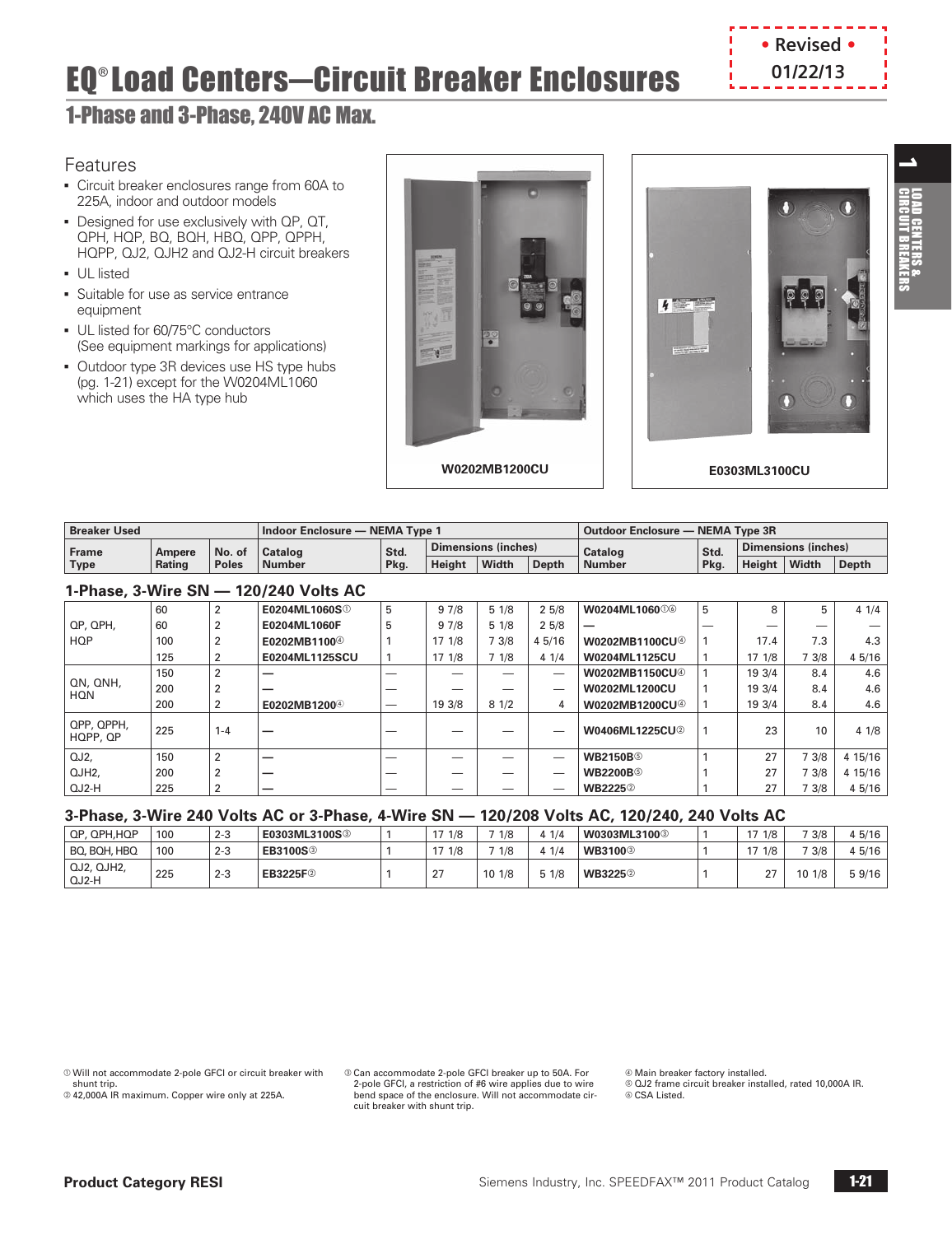

 $\overline{\phantom{a}}$ 

E

## EQ® Load Centers-Circuit Breaker Enclosures | 01/22/13

### 1-Phase and 3-Phase, 240V AC Max.

### Features

- **Circuit breaker enclosures range from 60A to** 225A, indoor and outdoor models
- **Designed for use exclusively with QP, QT,** QPH, HQP, BQ, BQH, HBQ, QPP, QPPH, HQPP, QJ2, QJH2 and QJ2-H circuit breakers
- **•** UL listed
- **-** Suitable for use as service entrance equipment
- **UL listed for 60/75°C conductors** (See equipment markings for applications)
- Outdoor type 3R devices use HS type hubs (pg. 1-21) except for the W0204ML1060 which uses the HA type hub





| Dimensions (inches)<br>Dimensions (inches)<br>Std.<br>Std.<br>Catalog<br>$\mathsf{No}$ . of<br>Catalog<br><b>Frame</b><br>Ampere<br>Width<br>Width<br>Height<br>Height<br><b>Depth</b><br>Pkg.<br>Pkg.<br><b>Depth</b><br>Type<br><b>Number</b><br>Number<br>Rating<br>∣ Poles | <b>Breaker Used</b><br>Indoor Enclosure - NEMA Type 1 |  |  |  |  |  |  | Outdoor Enclosure - NEMA Type 3R |  |  |  |  |
|--------------------------------------------------------------------------------------------------------------------------------------------------------------------------------------------------------------------------------------------------------------------------------|-------------------------------------------------------|--|--|--|--|--|--|----------------------------------|--|--|--|--|
|                                                                                                                                                                                                                                                                                |                                                       |  |  |  |  |  |  |                                  |  |  |  |  |
|                                                                                                                                                                                                                                                                                |                                                       |  |  |  |  |  |  |                                  |  |  |  |  |

### **1-Phase, 3-Wire SN — 120/240 Volts AC**

|                        |     |         | <b>I'lliase, J'VVIIE ON THE IZU/Z40 VUILS AU</b> |   |        |       |        |                                   |   |                  |       |         |
|------------------------|-----|---------|--------------------------------------------------|---|--------|-------|--------|-----------------------------------|---|------------------|-------|---------|
|                        | 60  |         | E0204ML1060S <sup>①</sup>                        | 5 | 97/8   | 51/8  | 25/8   | W0204ML106000                     | 5 | 8                |       | 41/4    |
| QP, QPH,               | 60  |         | E0204ML1060F                                     |   | 97/8   | 51/8  | 25/8   |                                   |   |                  |       |         |
| <b>HQP</b>             | 100 |         | E0202MB1100 <sup>4</sup>                         |   | 171/8  | 7 3/8 | 4 5/16 | <b>W0202MB1100CU</b> <sup>4</sup> |   | 17.4             | 7.3   | 4.3     |
|                        | 125 |         | E0204ML1125SCU                                   |   | 17 1/8 | 7 1/8 | 41/4   | W0204ML1125CU                     |   | $17 \frac{1}{8}$ | 3/8   | 4 5/16  |
|                        | 150 | っ       |                                                  |   |        | -     | -      | <b>W0202MB1150CU</b> <sup>®</sup> |   | 19 3/4           | 8.4   | 4.6     |
| QN, QNH,<br><b>HQN</b> | 200 |         | --                                               |   |        |       | _      | W0202ML1200CU                     |   | 19 3/4           | 8.4   | 4.6     |
|                        | 200 |         | E0202MB1200 <sup>4</sup>                         |   | 19 3/8 | 81/2  | 4      | W0202MB1200CU <sup>4</sup>        |   | 19 3/4           | 8.4   | 4.6     |
| QPP, QPPH,<br>HQPP, QP | 225 | $1 - 4$ |                                                  |   |        |       |        | <b>W0406ML1225CU2</b>             |   | 23               | 10    | 41/8    |
| QJ2.                   | 150 | 2       |                                                  |   |        | --    | -      | <b>WB2150B</b>                    |   | 27               | 7 3/8 | 4 15/16 |
| QJH <sub>2</sub>       | 200 | 2       |                                                  |   |        | -     | _      | <b>WB2200B</b>                    |   | 27               | 73/8  | 4 15/16 |
| QJ2-H                  | 225 |         | –                                                |   |        |       | _      | <b>WB2225</b> <sup>2</sup>        |   | 27               | 73/8  | 4 5/16  |

### **3-Phase, 3-Wire 240 Volts AC or 3-Phase, 4-Wire SN — 120/208 Volts AC, 120/240, 240 Volts AC**

| QP, QPH, HQP        | 100 | $2 - 3$ | E0303ML3100S <sup>3</sup>   | 171/8            | 1/8    | 1/4  | W0303ML3100 <sup>3</sup>   | $\sim$ $-$<br>1/8 | 73/8   | 4 5/16 |
|---------------------|-----|---------|-----------------------------|------------------|--------|------|----------------------------|-------------------|--------|--------|
| BO, BOH, HBO        | 100 | $2 - 3$ | <b>EB3100S</b> <sup>3</sup> | 1/8<br>17        | 1/8    | 1/4  | <b>WB3100</b> <sup>3</sup> | 1/8               | 73/8   | 4 5/16 |
| QJ2, QJH2,<br>QJ2-H | 225 | $2 - 3$ | EB3225F <sup>2</sup>        | $\sim$<br>$\sim$ | 10 1/8 | 51/8 | <b>WB3225</b> <sup>2</sup> | $\sim$            | 10 1/8 | 59/16  |

 $@$  Will not accommodate 2-pole GFCI or circuit breaker with shunt trip.

 $@$  42,000A IR maximum. Copper wire only at 225A.

® Can accommodate 2-pole GFCI breaker up to 50A. For<br>2-pole GFCI, a restriction of #6 wire applies due to wire bend space of the enclosure. Will not accommodate circuit breaker with shunt trip.

d Main breaker factory installed.

e QJ2 frame circuit breaker installed, rated 10,000A IR.  $©$  CSA Listed.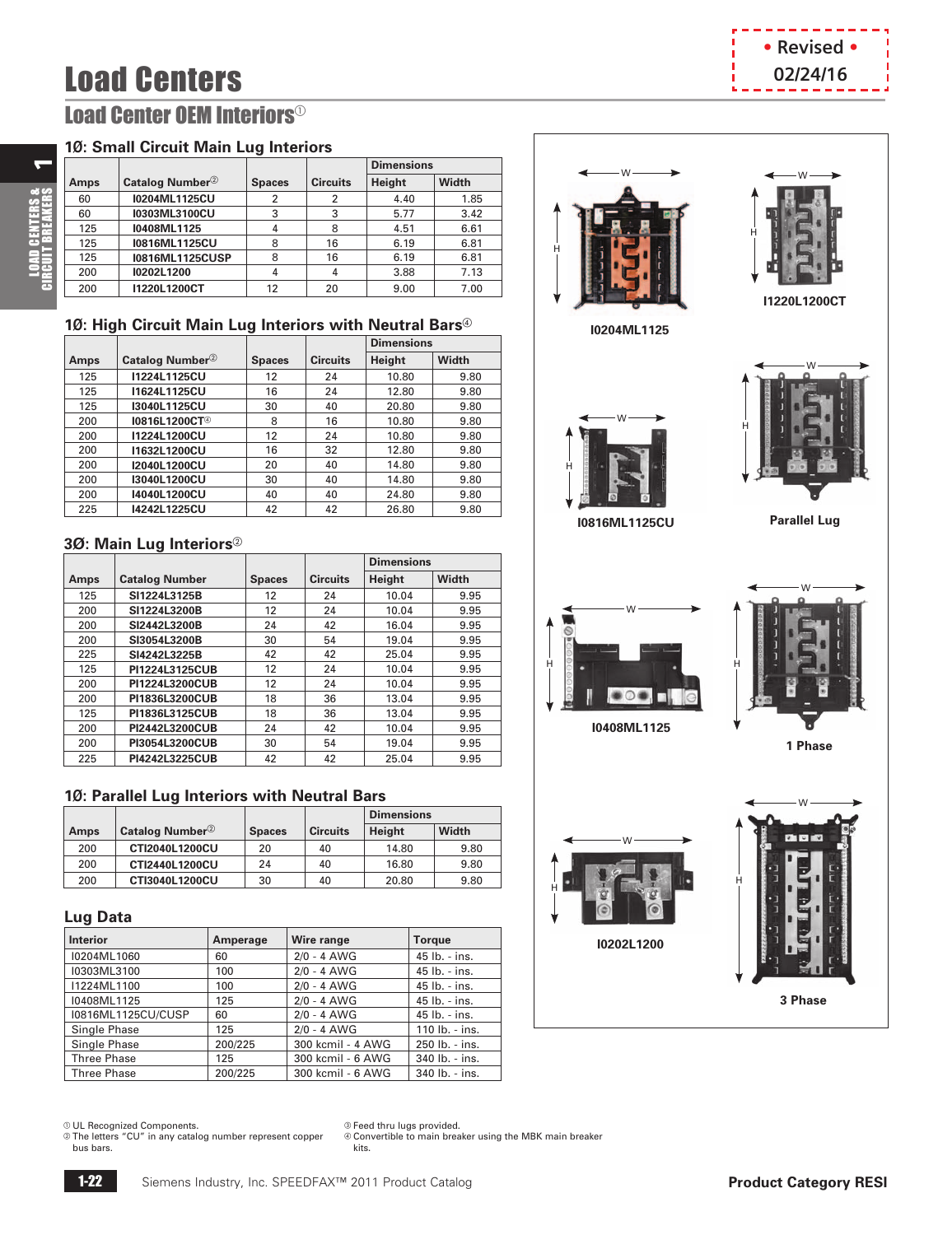## **Load Centers by the contract of the contract of the contract of the contract of the contract of the contract of the contract of the contract of the contract of the contract of the contract of the contract of the contrac**

### **Load Center OEM Interiors<sup>®</sup>**

### **1Ø: Small Circuit Main Lug Interiors**

|      |                             |               |                 | <b>Dimensions</b> |       |
|------|-----------------------------|---------------|-----------------|-------------------|-------|
| Amps | Catalog Number <sup>2</sup> | <b>Spaces</b> | <b>Circuits</b> | Height            | Width |
| 60   | 10204ML1125CU               | 2             | 2               | 4.40              | 1.85  |
| 60   | 10303ML3100CU               | 3             | 3               | 5.77              | 3.42  |
| 125  | I0408ML1125                 | 4             | 8               | 4.51              | 6.61  |
| 125  | I0816ML1125CU               | 8             | 16              | 6.19              | 6.81  |
| 125  | <b>I0816ML1125CUSP</b>      | 8             | 16              | 6.19              | 6.81  |
| 200  | I0202L1200                  | 4             | 4               | 3.88              | 7.13  |
| 200  | 11220L1200CT                | 12            | 20              | 9.00              | 7.00  |

### 10: High Circuit Main Lug Interiors with Neutral Bars<sup>®</sup>

|      |                             |               |                 | <b>Dimensions</b> |       |
|------|-----------------------------|---------------|-----------------|-------------------|-------|
| Amps | Catalog Number <sup>2</sup> | <b>Spaces</b> | <b>Circuits</b> | Height            | Width |
| 125  | 11224L1125CU                | 12            | 24              | 10.80             | 9.80  |
| 125  | 11624L1125CU                | 16            | 24              | 12.80             | 9.80  |
| 125  | 13040L1125CU                | 30            | 40              | 20.80             | 9.80  |
| 200  | 10816L1200CT <sup>@</sup>   | 8             | 16              | 10.80             | 9.80  |
| 200  | 11224L1200CU                | 12            | 24              | 10.80             | 9.80  |
| 200  | 11632L1200CU                | 16            | 32              | 12.80             | 9.80  |
| 200  | 12040L1200CU                | 20            | 40              | 14.80             | 9.80  |
| 200  | 13040L1200CU                | 30            | 40              | 14.80             | 9.80  |
| 200  | 14040L1200CU                | 40            | 40              | 24.80             | 9.80  |
| 225  | 14242L1225CU                | 42            | 42              | 26.80             | 9.80  |

### **3Ø: Main Lug Interiors**<sup>2</sup>

|      |                       |               |                 | <b>Dimensions</b> |              |
|------|-----------------------|---------------|-----------------|-------------------|--------------|
| Amps | <b>Catalog Number</b> | <b>Spaces</b> | <b>Circuits</b> | Height            | <b>Width</b> |
| 125  | SI1224L3125B          | 12            | 24              | 10.04             | 9.95         |
| 200  | SI1224L3200B          | 12            | 24              | 10.04             | 9.95         |
| 200  | SI2442L3200B          | 24            | 42              | 16.04             | 9.95         |
| 200  | SI3054L3200B          | 30            | 54              | 19.04             | 9.95         |
| 225  | SI4242L3225B          | 42            | 42              | 25.04             | 9.95         |
| 125  | PI1224L3125CUB        | 12            | 24              | 10.04             | 9.95         |
| 200  | PI1224L3200CUB        | 12            | 24              | 10.04             | 9.95         |
| 200  | PI1836L3200CUB        | 18            | 36              | 13.04             | 9.95         |
| 125  | PI1836L3125CUB        | 18            | 36              | 13.04             | 9.95         |
| 200  | PI2442L3200CUB        | 24            | 42              | 10.04             | 9.95         |
| 200  | PI3054L3200CUB        | 30            | 54              | 19.04             | 9.95         |
| 225  | PI4242L3225CUB        | 42            | 42              | 25.04             | 9.95         |

### **1Ø: Parallel Lug Interiors with Neutral Bars**

|             |                             |               |                 | <b>Dimensions</b> |       |
|-------------|-----------------------------|---------------|-----------------|-------------------|-------|
| <b>Amps</b> | Catalog Number <sup>2</sup> | <b>Spaces</b> | <b>Circuits</b> | Height            | Width |
| 200         | CTI2040L1200CU              | 20            | 40              | 14.80             | 9.80  |
| 200         | CTI2440L1200CU              | 24            | 40              | 16.80             | 9.80  |
| 200         | CTI3040L1200CU              | 30            | 40              | 20.80             | 9.80  |

### **Lug Data**

| <b>Interior</b>    | Amperage | Wire range        | <b>Torque</b>  |
|--------------------|----------|-------------------|----------------|
| I0204ML1060        | 60       | $2/0 - 4$ AWG     | 45 lb. - ins.  |
| I0303ML3100        | 100      | $2/0 - 4$ AWG     | 45 lb. - ins.  |
| I1224ML1100        | 100      | $2/0 - 4$ AWG     | 45 lb. - ins.  |
| I0408ML1125        | 125      | $2/0 - 4$ AWG     | 45 lb. - ins.  |
| 10816ML1125CU/CUSP | 60       | $2/0 - 4$ AWG     | 45 lb. - ins.  |
| Single Phase       | 125      | $2/0 - 4$ AWG     | 110 lb. - ins. |
| Single Phase       | 200/225  | 300 kcmil - 4 AWG | 250 lb. - ins. |
| <b>Three Phase</b> | 125      | 300 kcmil - 6 AWG | 340 lb. - ins. |
| <b>Three Phase</b> | 200/225  | 300 kcmil - 6 AWG | 340 lb. - ins. |

a UL Recognized Components.

b The letters "CU" in any catalog number represent copper bus bars.

<sup>3</sup> Feed thru lugs provided.

d Convertible to main breaker using the MBK main breaker kits.



 $\leftarrow$ 

LOAD CENTERS &<br>CIRCUIT BREAKERS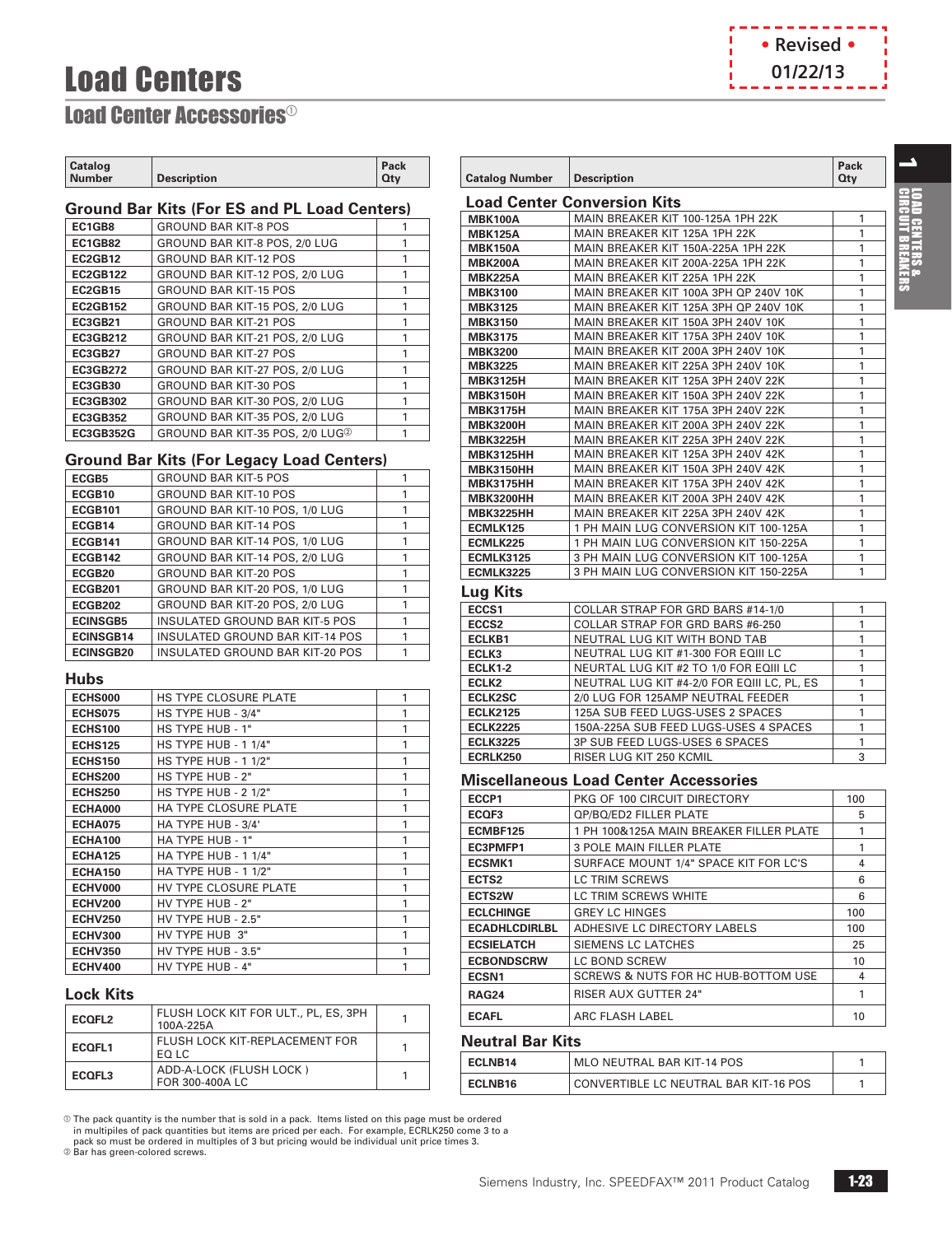## Load Centers



### <span id="page-3-0"></span>**Load Center Accessories<sup>®</sup>**

| <b>Catalog</b><br>Number | <b>Description</b> | Pack<br>Qtv |
|--------------------------|--------------------|-------------|
|                          |                    |             |

### **Ground Bar Kits (For ES and PL Load Centers)**

| EC1GB8           | <b>GROUND BAR KIT-8 POS</b>                 |  |
|------------------|---------------------------------------------|--|
| <b>EC1GB82</b>   | GROUND BAR KIT-8 POS, 2/0 LUG               |  |
| EC2GB12          | <b>GROUND BAR KIT-12 POS</b>                |  |
| <b>EC2GB122</b>  | GROUND BAR KIT-12 POS, 2/0 LUG              |  |
| <b>EC2GB15</b>   | <b>GROUND BAR KIT-15 POS</b>                |  |
| <b>EC2GB152</b>  | GROUND BAR KIT-15 POS, 2/0 LUG              |  |
| <b>EC3GB21</b>   | <b>GROUND BAR KIT-21 POS</b>                |  |
| <b>EC3GB212</b>  | GROUND BAR KIT-21 POS, 2/0 LUG              |  |
| <b>EC3GB27</b>   | <b>GROUND BAR KIT-27 POS</b>                |  |
| <b>EC3GB272</b>  | GROUND BAR KIT-27 POS, 2/0 LUG              |  |
| <b>EC3GB30</b>   | <b>GROUND BAR KIT-30 POS</b>                |  |
| <b>EC3GB302</b>  | GROUND BAR KIT-30 POS, 2/0 LUG              |  |
| <b>EC3GB352</b>  | GROUND BAR KIT-35 POS, 2/0 LUG              |  |
| <b>EC3GB352G</b> | GROUND BAR KIT-35 POS, 2/0 LUG <sup>2</sup> |  |
|                  |                                             |  |

### **Ground Bar Kits (For Legacy Load Centers)**

| ECGB5              | <b>GROUND BAR KIT-5 POS</b>     |  |
|--------------------|---------------------------------|--|
| ECGB10             | <b>GROUND BAR KIT-10 POS</b>    |  |
| <b>ECGB101</b>     | GROUND BAR KIT-10 POS, 1/0 LUG  |  |
| ECGB14             | <b>GROUND BAR KIT-14 POS</b>    |  |
| <b>ECGB141</b>     | GROUND BAR KIT-14 POS, 1/0 LUG  |  |
| <b>ECGB142</b>     | GROUND BAR KIT-14 POS, 2/0 LUG  |  |
| ECGB <sub>20</sub> | <b>GROUND BAR KIT-20 POS</b>    |  |
| <b>ECGB201</b>     | GROUND BAR KIT-20 POS, 1/0 LUG  |  |
| <b>ECGB202</b>     | GROUND BAR KIT-20 POS, 2/0 LUG  |  |
| <b>ECINSGB5</b>    | INSULATED GROUND BAR KIT-5 POS  |  |
| <b>ECINSGB14</b>   | INSULATED GROUND BAR KIT-14 POS |  |
| <b>ECINSGB20</b>   | INSULATED GROUND BAR KIT-20 POS |  |

#### **Hubs**

| <b>ECHS000</b> | <b>HS TYPE CLOSURE PLATE</b> | 1 |
|----------------|------------------------------|---|
| ECHS075        | HS TYPE HUB - 3/4"           | 1 |
| <b>ECHS100</b> | HS TYPE HUB - 1"             | 1 |
| <b>ECHS125</b> | <b>HS TYPE HUB - 1 1/4"</b>  | 1 |
| <b>ECHS150</b> | <b>HS TYPE HUB - 1 1/2"</b>  | 1 |
| <b>ECHS200</b> | HS TYPE HUB - 2"             | 1 |
| <b>ECHS250</b> | <b>HS TYPE HUB - 2 1/2"</b>  | 1 |
| <b>ECHA000</b> | <b>HA TYPE CLOSURE PLATE</b> | 1 |
| <b>ECHA075</b> | HA TYPE HUB - 3/4'           | 1 |
| <b>ECHA100</b> | HA TYPE HUB - 1"             | 1 |
| <b>ECHA125</b> | HA TYPE HUB - 1 1/4"         | 1 |
| <b>ECHA150</b> | HA TYPE HUB - 1 1/2"         | 1 |
| ECHV000        | HV TYPE CLOSURE PLATE        | 1 |
| <b>ECHV200</b> | HV TYPE HUB - 2"             | 1 |
| <b>ECHV250</b> | HV TYPE HUB - 2.5"           | 1 |
| <b>ECHV300</b> | HV TYPE HUB 3"               | 1 |
| <b>ECHV350</b> | HV TYPE HUB - 3.5"           | 1 |
| <b>ECHV400</b> | HV TYPE HUB - 4"             | 1 |

### **Lock Kits**

| ECOFL <sub>2</sub> | FLUSH LOCK KIT FOR ULT., PL, ES, 3PH<br>100A-225A |  |
|--------------------|---------------------------------------------------|--|
| ECOFL1             | FLUSH LOCK KIT-REPLACEMENT FOR<br>FO LC           |  |
| ECOFL3             | ADD-A-LOCK (FLUSH LOCK)<br>FOR 300-400A LC        |  |

 $\odot$  The pack quantity is the number that is sold in a pack. Items listed on this page must be ordered

in multipiles of pack quantities but items are priced per each. For example, ECRLK250 come 3 to a<br>pack so must be ordered in multiples of 3 but pricing would be individual unit price times 3.<br>@ Bar has green-colored screw

| <b>Catalog Number</b> | <b>Description</b>                    | Pack<br>Qty |
|-----------------------|---------------------------------------|-------------|
|                       | <b>Load Center Conversion Kits</b>    |             |
| <b>MBK100A</b>        | MAIN BREAKER KIT 100-125A 1PH 22K     | 1           |
| <b>MBK125A</b>        | MAIN BREAKER KIT 125A 1PH 22K         | 1           |
| <b>MBK150A</b>        | MAIN BREAKER KIT 150A-225A 1PH 22K    | 1           |
| <b>MBK200A</b>        | MAIN BREAKER KIT 200A-225A 1PH 22K    | 1           |
| <b>MBK225A</b>        | MAIN BREAKER KIT 225A 1PH 22K         | 1           |
| <b>MBK3100</b>        | MAIN BREAKER KIT 100A 3PH OP 240V 10K | 1           |
| <b>MBK3125</b>        | MAIN BREAKER KIT 125A 3PH OP 240V 10K | 1           |
| <b>MBK3150</b>        | MAIN BREAKER KIT 150A 3PH 240V 10K    | 1           |
| <b>MBK3175</b>        | MAIN BREAKER KIT 175A 3PH 240V 10K    | 1           |
| <b>MBK3200</b>        | MAIN BREAKER KIT 200A 3PH 240V 10K    | 1           |
| <b>MBK3225</b>        | MAIN BREAKER KIT 225A 3PH 240V 10K    | 1           |
| <b>MBK3125H</b>       | MAIN BREAKER KIT 125A 3PH 240V 22K    | 1           |
| <b>MBK3150H</b>       | MAIN BREAKER KIT 150A 3PH 240V 22K    | 1           |
| <b>MBK3175H</b>       | MAIN BREAKER KIT 175A 3PH 240V 22K    | 1           |
| <b>MBK3200H</b>       | MAIN BREAKER KIT 200A 3PH 240V 22K    | 1           |
| <b>MBK3225H</b>       | MAIN BREAKER KIT 225A 3PH 240V 22K    | 1           |
| <b>MBK3125HH</b>      | MAIN BREAKER KIT 125A 3PH 240V 42K    | 1           |
| <b>MBK3150HH</b>      | MAIN BREAKER KIT 150A 3PH 240V 42K    | 1           |
| <b>MBK3175HH</b>      | MAIN BREAKER KIT 175A 3PH 240V 42K    | 1           |
| <b>MBK3200HH</b>      | MAIN BREAKER KIT 200A 3PH 240V 42K    | 1           |
| <b>MBK3225HH</b>      | MAIN BREAKER KIT 225A 3PH 240V 42K    | 1           |
| ECMLK125              | 1 PH MAIN LUG CONVERSION KIT 100-125A | 1           |
| ECMLK225              | 1 PH MAIN LUG CONVERSION KIT 150-225A | 1           |
| <b>ECMLK3125</b>      | 3 PH MAIN LUG CONVERSION KIT 100-125A | 1           |
| <b>ECMLK3225</b>      | 3 PH MAIN LUG CONVERSION KIT 150-225A | 1           |
| 1. 1794.              |                                       |             |

#### **Lug Kits**

| ECCS1             | COLLAR STRAP FOR GRD BARS #14-1/0           |   |
|-------------------|---------------------------------------------|---|
| ECCS <sub>2</sub> | <b>COLLAR STRAP FOR GRD BARS #6-250</b>     |   |
| ECLKB1            | NEUTRAL LUG KIT WITH BOND TAB               |   |
| ECLK3             | NEUTRAL LUG KIT #1-300 FOR EQIII LC         |   |
| <b>ECLK1-2</b>    | NEURTAL LUG KIT #2 TO 1/0 FOR EQIII LC      |   |
| ECLK <sub>2</sub> | NEUTRAL LUG KIT #4-2/0 FOR EQIII LC, PL, ES |   |
| <b>ECLK2SC</b>    | 2/0 LUG FOR 125AMP NEUTRAL FEEDER           |   |
| <b>ECLK2125</b>   | 125A SUB FEED LUGS-USES 2 SPACES            |   |
| <b>ECLK2225</b>   | 150A-225A SUB FEED LUGS-USES 4 SPACES       |   |
| <b>ECLK3225</b>   | 3P SUB FEED LUGS-USES 6 SPACES              |   |
| <b>ECRLK250</b>   | RISER LUG KIT 250 KCMIL                     | 3 |

### **Miscellaneous Load Center Accessories**

| ECCP1                | PKG OF 100 CIRCUIT DIRECTORY            | 100 |
|----------------------|-----------------------------------------|-----|
| ECOF3                | QP/BQ/ED2 FILLER PLATE                  | 5   |
| ECMBF125             | 1 PH 100&125A MAIN BREAKER FILLER PLATE | 1   |
| EC3PMFP1             | <b>3 POLE MAIN FILLER PLATE</b>         | 1   |
| <b>ECSMK1</b>        | SURFACE MOUNT 1/4" SPACE KIT FOR LC'S   | 4   |
| ECTS <sub>2</sub>    | <b>LC TRIM SCREWS</b>                   | 6   |
| <b>ECTS2W</b>        | LC TRIM SCREWS WHITE                    | 6   |
| <b>ECLCHINGE</b>     | <b>GREY LC HINGES</b>                   | 100 |
| <b>ECADHLCDIRLBL</b> | ADHESIVE LC DIRECTORY LABELS            | 100 |
| <b>ECSIELATCH</b>    | <b>SIEMENS LC LATCHES</b>               | 25  |
| <b>ECBONDSCRW</b>    | <b>LC BOND SCREW</b>                    | 10  |
| ECSN <sub>1</sub>    | SCREWS & NUTS FOR HC HUB-BOTTOM USE     | 4   |
| <b>RAG24</b>         | <b>RISER AUX GUTTER 24"</b>             | 1   |
| <b>ECAFL</b>         | <b>ARC FLASH LABEL</b>                  | 10  |

### **Neutral Bar Kits**

| ECLNB14             | MLO NEUTRAL BAR KIT-14 POS            |  |  |
|---------------------|---------------------------------------|--|--|
| ECLNB <sub>16</sub> | CONVERTIBLE LC NEUTRAL BAR KIT-16 POS |  |  |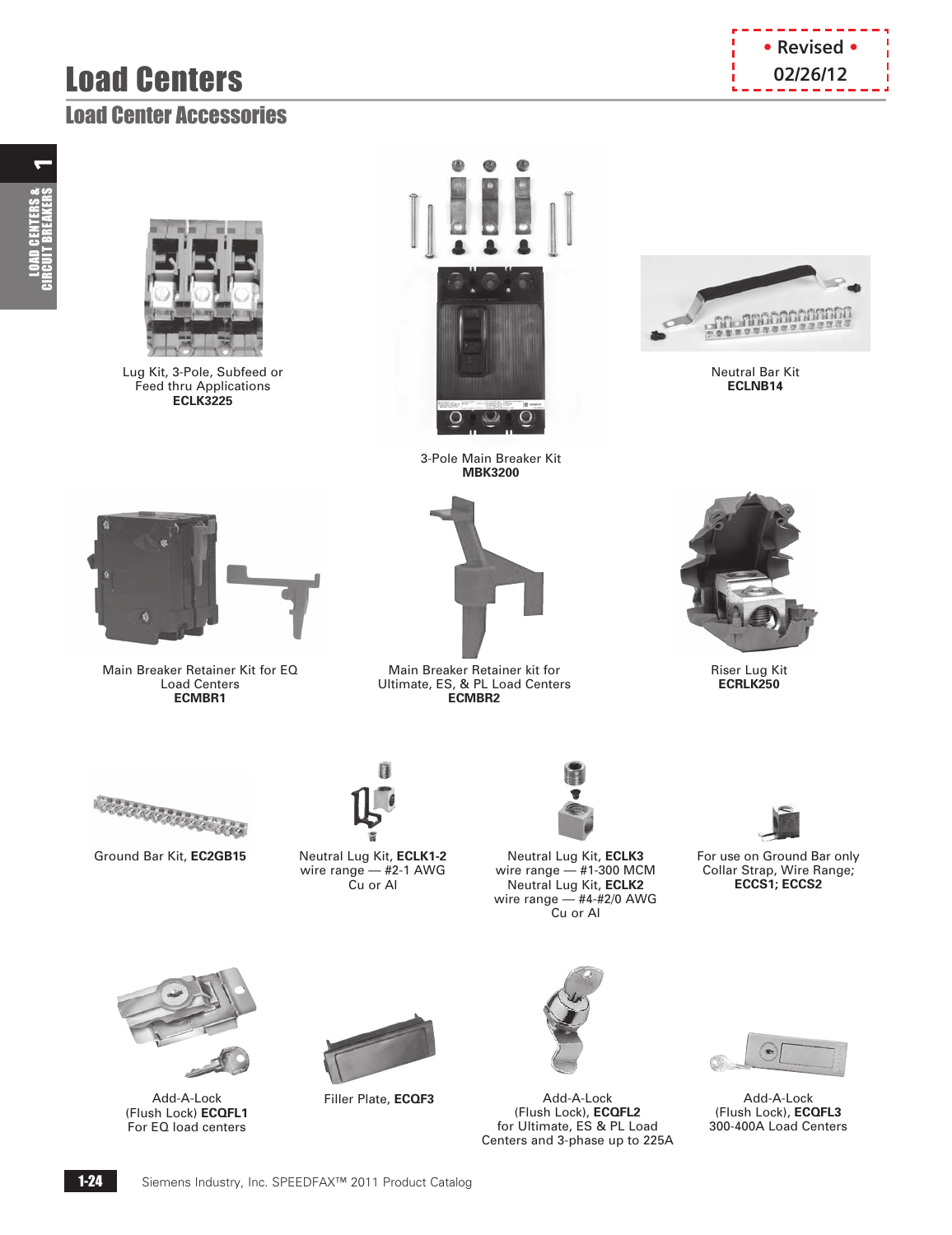## **Load Centers by the contract of the contract of the contract of the contract of the contract of the contract of the contract of the contract of the contract of the contract of the contract of the contract of the contrac**

# $\leftarrow$ LOAD CENTERS &<br>CIRCUIT BREAKERS



Lug Kit, 3-Pole, Subfeed or Feed thru Applications **ECLK3225**





Neutral Bar Kit **ECLNB14**



Main Breaker Retainer Kit for EQ Load Centers **ECMBR1**



**MBK3200**

Main Breaker Retainer kit for Ultimate, ES, & PL Load Centers **ECMBR2** 



Riser Lug Kit **ECRLK250**





Ground Bar Kit, **EC2GB15** Neutral Lug Kit, **ECLK1-2** wire range — #2-1 AWG Cu or Al



Neutral Lug Kit, **ECLK3** wire range — #1-300 MCM Neutral Lug Kit, **ECLK2** wire range — #4-#2/0 AWG Cu or Al

For use on Ground Bar only Collar Strap, Wire Range; **ECCS1; ECCS2**



(Flush Lock) **ECQFL1** For EQ load centers



Add-A-Lock Filler Plate, **ECQF3**



Add-A-Lock (Flush Lock), **ECQFL2** for Ultimate, ES & PL Load Centers and 3-phase up to 225A



Add-A-Lock (Flush Lock), **ECQFL3** 300-400A Load Centers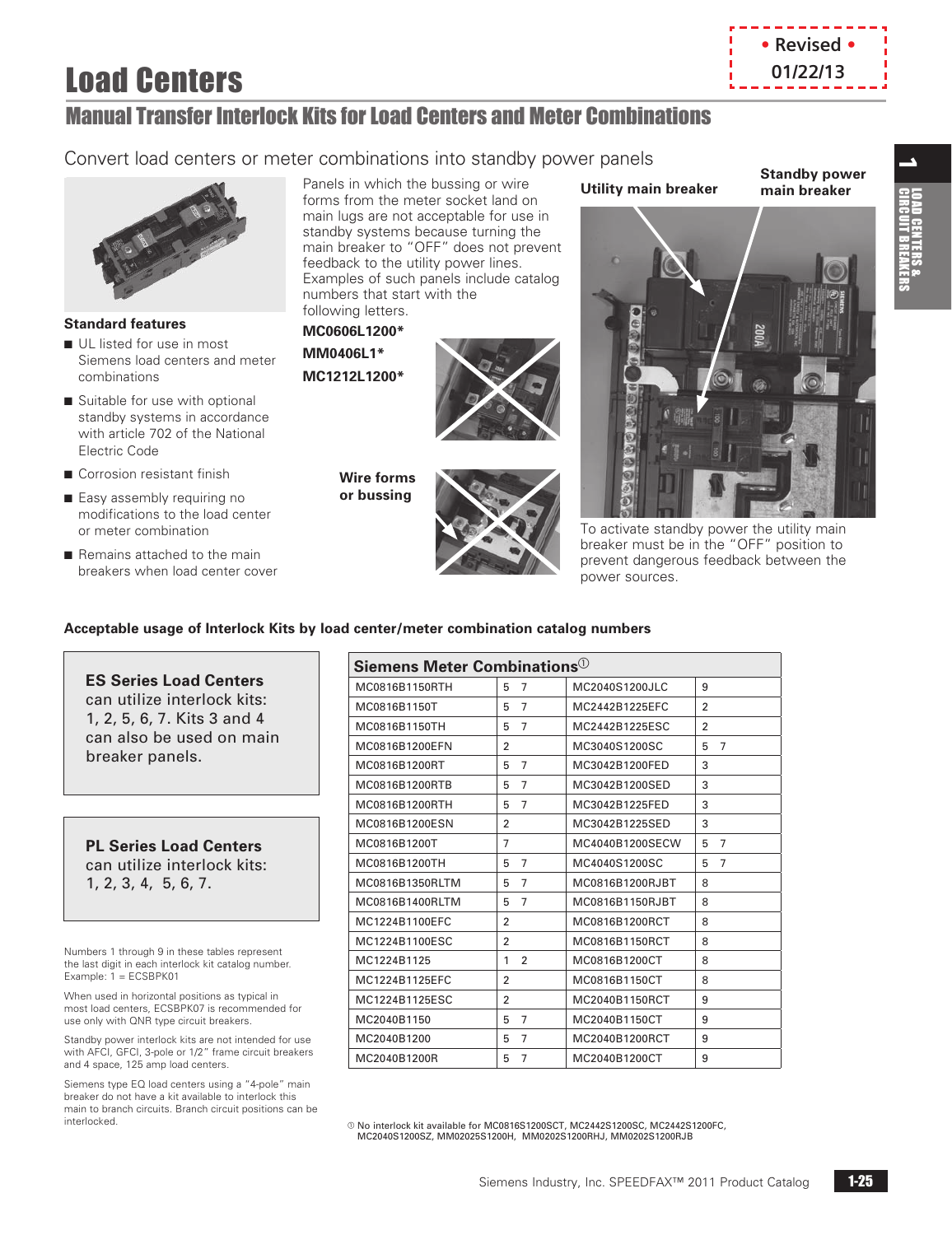## Load Centers

### Manual Transfer Interlock Kits for Load Centers and Meter Combinations

### Convert load centers or meter combinations into standby power panels



#### **Standard features**

- UL listed for use in most Siemens load centers and meter combinations
- Suitable for use with optional standby systems in accordance with article 702 of the National Electric Code
- $\blacksquare$  Corrosion resistant finish
- Easy assembly requiring no modifications to the load center or meter combination
- Remains attached to the main breakers when load center cover

Panels in which the bussing or wire forms from the meter socket land on main lugs are not acceptable for use in standby systems because turning the main breaker to "OFF" does not prevent feedback to the utility power lines. Examples of such panels include catalog numbers that start with the following letters.

**MC0606L1200\***

**MM0406L1\* MC1212L1200\***



**Wire forms or bussing**



### **Utility main breaker**

**Standby power main breaker**

**• Revised • 01/22/13**





### **Acceptable usage of Interlock Kits by load center/meter combination catalog numbers**

### **ES Series Load Centers**

can utilize interlock kits: 1, 2, 5, 6, 7. Kits 3 and 4 can also be used on main breaker panels.

**PL Series Load Centers**  can utilize interlock kits: 1, 2, 3, 4, 5, 6, 7.

Numbers 1 through 9 in these tables represent the last digit in each interlock kit catalog number. Example: 1 = ECSBPK01

When used in horizontal positions as typical in most load centers, ECSBPK07 is recommended for use only with QNR type circuit breakers.

Standby power interlock kits are not intended for use with AFCI, GFCI, 3-pole or 1/2" frame circuit breakers and 4 space, 125 amp load centers.

Siemens type EQ load centers using a "4-pole" main breaker do not have a kit available to interlock this main to branch circuits. Branch circuit positions can be interlocked.

| Siemens Meter Combinations $^{\circledR}$ |                     |                 |                     |  |  |
|-------------------------------------------|---------------------|-----------------|---------------------|--|--|
| MC0816B1150RTH                            | 5<br>7              | MC2040S1200JLC  | 9                   |  |  |
| MC0816B1150T                              | 5<br>$\overline{7}$ | MC2442B1225EFC  | $\overline{2}$      |  |  |
| MC0816B1150TH                             | 5<br>$\overline{7}$ | MC2442B1225ESC  | $\overline{2}$      |  |  |
| MC0816B1200EFN                            | $\overline{2}$      | MC3040S1200SC   | $\overline{7}$<br>5 |  |  |
| MC0816B1200RT                             | $\overline{7}$<br>5 | MC3042B1200FED  | 3                   |  |  |
| MC0816B1200RTB                            | $\overline{7}$<br>5 | MC3042B1200SED  | 3                   |  |  |
| MC0816B1200RTH                            | $\overline{7}$<br>5 | MC3042B1225FED  | 3                   |  |  |
| MC0816B1200ESN                            | 2                   | MC3042B1225SED  | 3                   |  |  |
| MC0816B1200T                              | 7                   | MC4040B1200SECW | $\overline{7}$<br>5 |  |  |
| MC0816B1200TH                             | 5<br>$\overline{7}$ | MC4040S1200SC   | $\overline{7}$<br>5 |  |  |
| MC0816B1350RLTM                           | 5<br>7              | MC0816B1200RJBT | 8                   |  |  |
| MC0816B1400RLTM                           | $\overline{7}$<br>5 | MC0816B1150RJBT | 8                   |  |  |
| MC1224B1100EFC                            | $\overline{2}$      | MC0816B1200RCT  | 8                   |  |  |
| MC1224B1100ESC                            | $\overline{2}$      | MC0816B1150RCT  | 8                   |  |  |
| MC1224B1125                               | $\overline{2}$<br>1 | MC0816B1200CT   | 8                   |  |  |
| MC1224B1125EFC                            | $\overline{2}$      | MC0816B1150CT   | 8                   |  |  |
| MC1224B1125ESC                            | $\overline{2}$      | MC2040B1150RCT  | 9                   |  |  |
| MC2040B1150                               | 7<br>5              | MC2040B1150CT   | 9                   |  |  |
| MC2040B1200                               | 5<br>7              | MC2040B1200RCT  | 9                   |  |  |
| MC2040B1200R                              | 5<br>7              | MC2040B1200CT   | 9                   |  |  |

a No interlock kit available for MC0816S1200SCT, MC2442S1200SC, MC2442S1200FC, MC2040S1200SZ, MM02025S1200H, MM0202S1200RHJ, MM0202S1200RJB